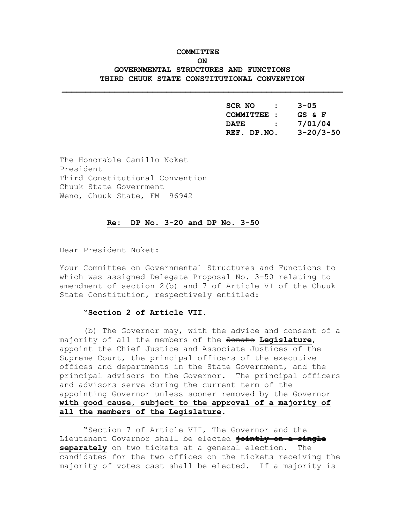# **COMMITTEE ON GOVERNMENTAL STRUCTURES AND FUNCTIONS THIRD CHUUK STATE CONSTITUTIONAL CONVENTION**

**\_\_\_\_\_\_\_\_\_\_\_\_\_\_\_\_\_\_\_\_\_\_\_\_\_\_\_\_\_\_\_\_\_\_\_\_\_\_\_\_\_\_\_\_\_\_\_\_\_\_\_\_\_\_\_\_\_\_\_** 

| $SCR NO$ : $3-05$     |  |
|-----------------------|--|
| COMMITTEE : GS & F    |  |
| DATE : 7/01/04        |  |
| REF. DP.NO. 3-20/3-50 |  |

The Honorable Camillo Noket President Third Constitutional Convention Chuuk State Government Weno, Chuuk State, FM 96942

#### **Re: DP No. 3-20 and DP No. 3-50**

Dear President Noket:

Your Committee on Governmental Structures and Functions to which was assigned Delegate Proposal No. 3-50 relating to amendment of section 2(b) and 7 of Article VI of the Chuuk State Constitution, respectively entitled:

## **"Section 2 of Article VII.**

(b) The Governor may, with the advice and consent of a majority of all the members of the Senate **Legislature**, appoint the Chief Justice and Associate Justices of the Supreme Court, the principal officers of the executive offices and departments in the State Government, and the principal advisors to the Governor. The principal officers and advisors serve during the current term of the appointing Governor unless sooner removed by the Governor **with good cause, subject to the approval of a majority of all the members of the Legislature**.

"Section 7 of Article VII, The Governor and the Lieutenant Governor shall be elected **jointly on a single separately** on two tickets at a general election. The candidates for the two offices on the tickets receiving the majority of votes cast shall be elected. If a majority is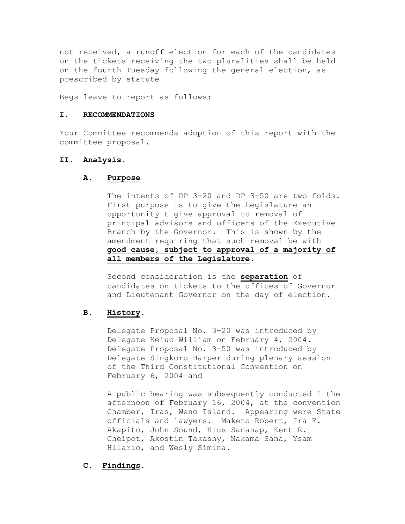not received, a runoff election for each of the candidates on the tickets receiving the two pluralities shall be held on the fourth Tuesday following the general election, as prescribed by statute

Begs leave to report as follows:

#### **I. RECOMMENDATIONS**

Your Committee recommends adoption of this report with the committee proposal.

#### **II. Analysis.**

## **A. Purpose**

The intents of DP 3-20 and DP 3-50 are two folds. First purpose is to give the Legislature an opportunity t give approval to removal of principal advisors and officers of the Executive Branch by the Governor. This is shown by the amendment requiring that such removal be with **good cause, subject to approval of a majority of all members of the Legislature**.

Second consideration is the **separation** of candidates on tickets to the offices of Governor and Lieutenant Governor on the day of election.

## **B. History**.

Delegate Proposal No. 3-20 was introduced by Delegate Keiuo William on February 4, 2004. Delegate Proposal No. 3-50 was introduced by Delegate Singkoro Harper during plenary session of the Third Constitutional Convention on February 6, 2004 and

A public hearing was subsequently conducted I the afternoon of February 16, 2004, at the convention Chamber, Iras, Weno Island. Appearing were State officials and lawyers. Maketo Robert, Ira E. Akapito, John Sound, Kius Sananap, Kent R. Cheipot, Akostin Takashy, Nakama Sana, Ysam Hilario, and Wesly Simina.

## **C. Findings**.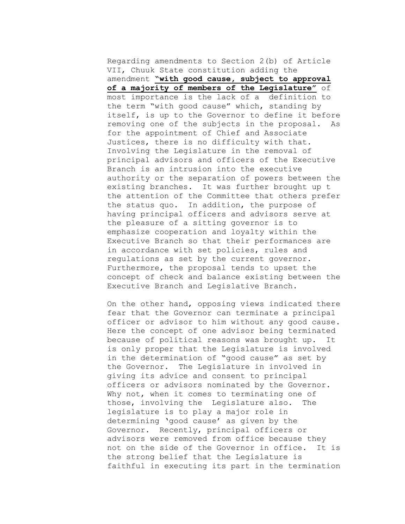Regarding amendments to Section 2(b) of Article VII, Chuuk State constitution adding the amendment **"with good cause, subject to approval of a majority of members of the Legislature"** of most importance is the lack of a definition to the term "with good cause" which, standing by itself, is up to the Governor to define it before removing one of the subjects in the proposal. As for the appointment of Chief and Associate Justices, there is no difficulty with that. Involving the Legislature in the removal of principal advisors and officers of the Executive Branch is an intrusion into the executive authority or the separation of powers between the existing branches. It was further brought up t the attention of the Committee that others prefer the status quo. In addition, the purpose of having principal officers and advisors serve at the pleasure of a sitting governor is to emphasize cooperation and loyalty within the Executive Branch so that their performances are in accordance with set policies, rules and regulations as set by the current governor. Furthermore, the proposal tends to upset the concept of check and balance existing between the Executive Branch and Legislative Branch.

On the other hand, opposing views indicated there fear that the Governor can terminate a principal officer or advisor to him without any good cause. Here the concept of one advisor being terminated because of political reasons was brought up. It is only proper that the Legislature is involved in the determination of "good cause" as set by the Governor. The Legislature in involved in giving its advice and consent to principal officers or advisors nominated by the Governor. Why not, when it comes to terminating one of those, involving the Legislature also. The legislature is to play a major role in determining 'good cause' as given by the Governor. Recently, principal officers or advisors were removed from office because they not on the side of the Governor in office. It is the strong belief that the Legislature is faithful in executing its part in the termination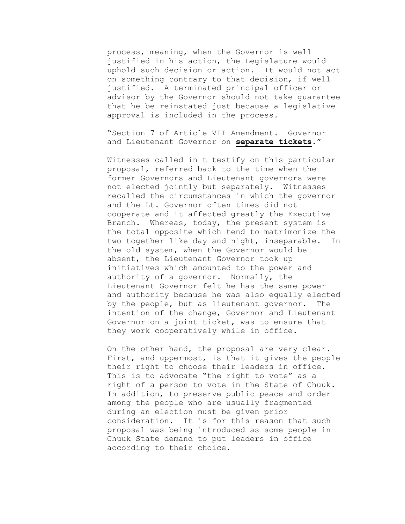process, meaning, when the Governor is well justified in his action, the Legislature would uphold such decision or action. It would not act on something contrary to that decision, if well justified. A terminated principal officer or advisor by the Governor should not take guarantee that he be reinstated just because a legislative approval is included in the process.

"Section 7 of Article VII Amendment. Governor and Lieutenant Governor on **separate tickets**."

Witnesses called in t testify on this particular proposal, referred back to the time when the former Governors and Lieutenant governors were not elected jointly but separately. Witnesses recalled the circumstances in which the governor and the Lt. Governor often times did not cooperate and it affected greatly the Executive Branch. Whereas, today, the present system is the total opposite which tend to matrimonize the two together like day and night, inseparable. In the old system, when the Governor would be absent, the Lieutenant Governor took up initiatives which amounted to the power and authority of a governor. Normally, the Lieutenant Governor felt he has the same power and authority because he was also equally elected by the people, but as lieutenant governor. The intention of the change, Governor and Lieutenant Governor on a joint ticket, was to ensure that they work cooperatively while in office.

On the other hand, the proposal are very clear. First, and uppermost, is that it gives the people their right to choose their leaders in office. This is to advocate "the right to vote" as a right of a person to vote in the State of Chuuk. In addition, to preserve public peace and order among the people who are usually fragmented during an election must be given prior consideration. It is for this reason that such proposal was being introduced as some people in Chuuk State demand to put leaders in office according to their choice.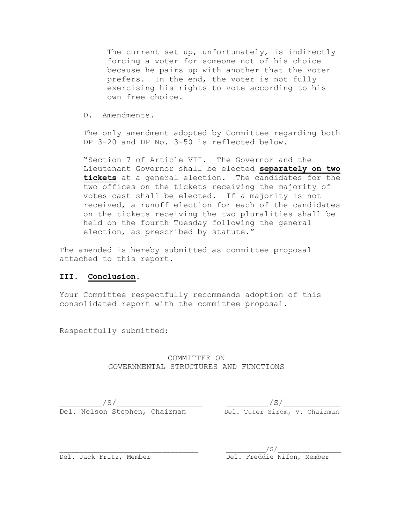The current set up, unfortunately, is indirectly forcing a voter for someone not of his choice because he pairs up with another that the voter prefers. In the end, the voter is not fully exercising his rights to vote according to his own free choice.

D. Amendments.

The only amendment adopted by Committee regarding both DP 3-20 and DP No. 3-50 is reflected below.

"Section 7 of Article VII. The Governor and the Lieutenant Governor shall be elected **separately on two tickets** at a general election. The candidates for the two offices on the tickets receiving the majority of votes cast shall be elected. If a majority is not received, a runoff election for each of the candidates on the tickets receiving the two pluralities shall be held on the fourth Tuesday following the general election, as prescribed by statute."

The amended is hereby submitted as committee proposal attached to this report.

## **III. Conclusion**.

Your Committee respectfully recommends adoption of this consolidated report with the committee proposal.

Respectfully submitted:

COMMITTEE ON GOVERNMENTAL STRUCTURES AND FUNCTIONS

 $/S/$   $/S/$ Del. Nelson Stephen, Chairman Del. Tuter Sirom, V. Chairman

 $\sqrt{s}/$ Del. Jack Fritz, Member Del. Freddie Nifon, Member